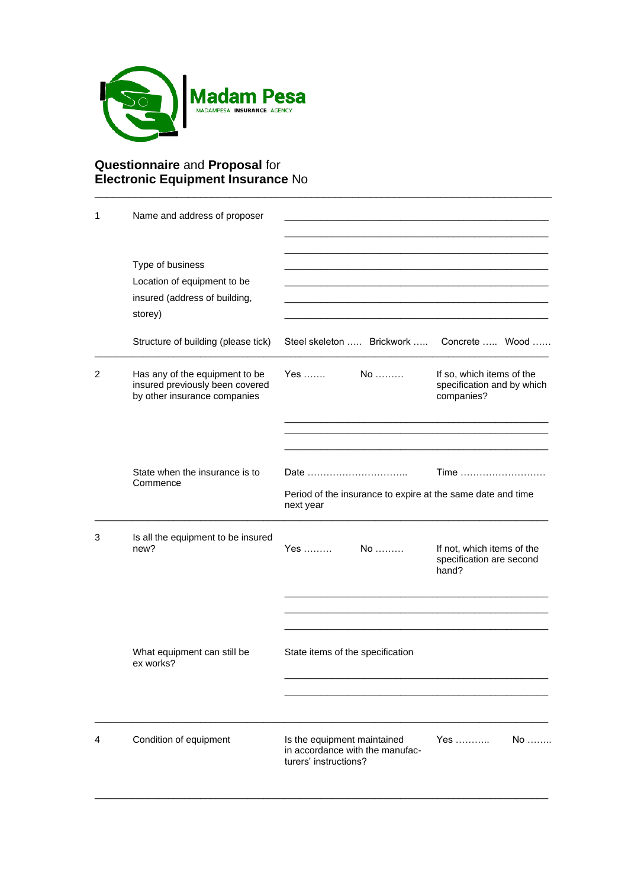

## **Questionnaire** and **Proposal** for **Electronic Equipment Insurance** No

| 1 | Name and address of proposer                                                                      |                                                                                         |                                                                       |  |  |
|---|---------------------------------------------------------------------------------------------------|-----------------------------------------------------------------------------------------|-----------------------------------------------------------------------|--|--|
|   | Type of business<br>Location of equipment to be<br>insured (address of building,<br>storey)       |                                                                                         |                                                                       |  |  |
|   | Structure of building (please tick)                                                               | Steel skeleton  Brickwork  Concrete  Wood                                               |                                                                       |  |  |
| 2 | Has any of the equipment to be<br>insured previously been covered<br>by other insurance companies | Yes …….<br>$No$                                                                         | If so, which items of the<br>specification and by which<br>companies? |  |  |
|   |                                                                                                   |                                                                                         |                                                                       |  |  |
|   | State when the insurance is to<br>Commence                                                        | Period of the insurance to expire at the same date and time<br>next year                | $Time$                                                                |  |  |
| 3 | Is all the equipment to be insured<br>new?                                                        | Yes ………<br>$No$                                                                         | If not, which items of the<br>specification are second<br>hand?       |  |  |
|   |                                                                                                   |                                                                                         |                                                                       |  |  |
|   | What equipment can still be<br>ex works?                                                          | State items of the specification                                                        |                                                                       |  |  |
|   |                                                                                                   |                                                                                         |                                                                       |  |  |
| 4 | Condition of equipment                                                                            | Is the equipment maintained<br>in accordance with the manufac-<br>turers' instructions? | Yes<br>$No$                                                           |  |  |

 $\_$  ,  $\_$  ,  $\_$  ,  $\_$  ,  $\_$  ,  $\_$  ,  $\_$  ,  $\_$  ,  $\_$  ,  $\_$  ,  $\_$  ,  $\_$  ,  $\_$  ,  $\_$  ,  $\_$  ,  $\_$  ,  $\_$  ,  $\_$  ,  $\_$  ,  $\_$  ,  $\_$  ,  $\_$  ,  $\_$  ,  $\_$  ,  $\_$  ,  $\_$  ,  $\_$  ,  $\_$  ,  $\_$  ,  $\_$  ,  $\_$  ,  $\_$  ,  $\_$  ,  $\_$  ,  $\_$  ,  $\_$  ,  $\_$  ,

\_\_\_\_\_\_\_\_\_\_\_\_\_\_\_\_\_\_\_\_\_\_\_\_\_\_\_\_\_\_\_\_\_\_\_\_\_\_\_\_\_\_\_\_\_\_\_\_\_\_\_\_\_\_\_\_\_\_\_\_\_\_\_\_\_\_\_\_\_\_\_\_\_\_\_\_\_\_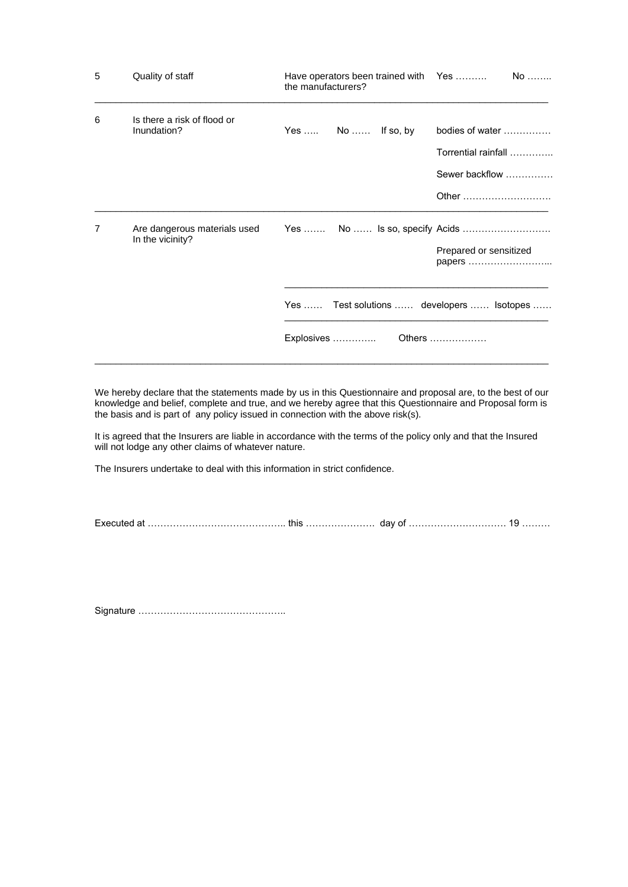| 5 | Quality of staff                                 | Have operators been trained with Yes<br>the manufacturers? | $No$                                                              |
|---|--------------------------------------------------|------------------------------------------------------------|-------------------------------------------------------------------|
| 6 | Is there a risk of flood or<br>Inundation?       | Yes  No  If so, by                                         | bodies of water<br>Torrential rainfall<br>Sewer backflow<br>Other |
| 7 | Are dangerous materials used<br>In the vicinity? | Yes  Test solutions  developers  Isotopes<br>Explosives    | Prepared or sensitized<br>papers<br>Others                        |

We hereby declare that the statements made by us in this Questionnaire and proposal are, to the best of our knowledge and belief, complete and true, and we hereby agree that this Questionnaire and Proposal form is the basis and is part of any policy issued in connection with the above risk(s).

It is agreed that the Insurers are liable in accordance with the terms of the policy only and that the Insured will not lodge any other claims of whatever nature.

The Insurers undertake to deal with this information in strict confidence.

Executed at …………………………………….. this …………………. day of …………………………. 19 ………

Signature ………………………………………..